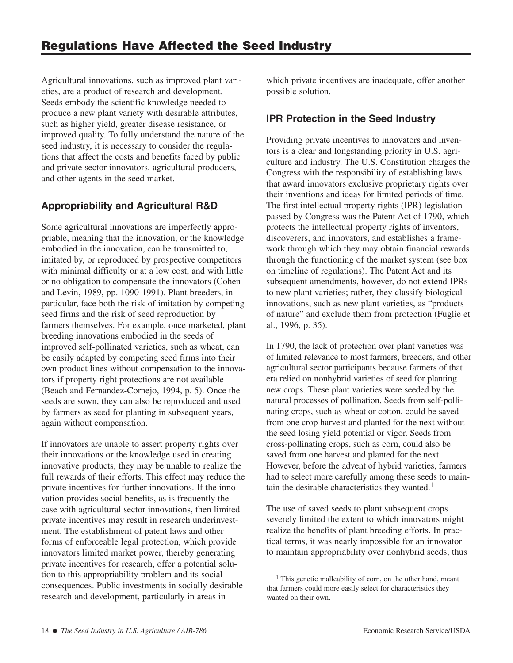Agricultural innovations, such as improved plant varieties, are a product of research and development. Seeds embody the scientific knowledge needed to produce a new plant variety with desirable attributes, such as higher yield, greater disease resistance, or improved quality. To fully understand the nature of the seed industry, it is necessary to consider the regulations that affect the costs and benefits faced by public and private sector innovators, agricultural producers, and other agents in the seed market.

# **Appropriability and Agricultural R&D**

Some agricultural innovations are imperfectly appropriable, meaning that the innovation, or the knowledge embodied in the innovation, can be transmitted to, imitated by, or reproduced by prospective competitors with minimal difficulty or at a low cost, and with little or no obligation to compensate the innovators (Cohen and Levin, 1989, pp. 1090-1991). Plant breeders, in particular, face both the risk of imitation by competing seed firms and the risk of seed reproduction by farmers themselves. For example, once marketed, plant breeding innovations embodied in the seeds of improved self-pollinated varieties, such as wheat, can be easily adapted by competing seed firms into their own product lines without compensation to the innovators if property right protections are not available (Beach and Fernandez-Cornejo, 1994, p. 5). Once the seeds are sown, they can also be reproduced and used by farmers as seed for planting in subsequent years, again without compensation.

If innovators are unable to assert property rights over their innovations or the knowledge used in creating innovative products, they may be unable to realize the full rewards of their efforts. This effect may reduce the private incentives for further innovations. If the innovation provides social benefits, as is frequently the case with agricultural sector innovations, then limited private incentives may result in research underinvestment. The establishment of patent laws and other forms of enforceable legal protection, which provide innovators limited market power, thereby generating private incentives for research, offer a potential solution to this appropriability problem and its social consequences. Public investments in socially desirable research and development, particularly in areas in

which private incentives are inadequate, offer another possible solution.

## **IPR Protection in the Seed Industry**

Providing private incentives to innovators and inventors is a clear and longstanding priority in U.S. agriculture and industry. The U.S. Constitution charges the Congress with the responsibility of establishing laws that award innovators exclusive proprietary rights over their inventions and ideas for limited periods of time. The first intellectual property rights (IPR) legislation passed by Congress was the Patent Act of 1790, which protects the intellectual property rights of inventors, discoverers, and innovators, and establishes a framework through which they may obtain financial rewards through the functioning of the market system (see box on timeline of regulations). The Patent Act and its subsequent amendments, however, do not extend IPRs to new plant varieties; rather, they classify biological innovations, such as new plant varieties, as "products of nature" and exclude them from protection (Fuglie et al., 1996, p. 35).

In 1790, the lack of protection over plant varieties was of limited relevance to most farmers, breeders, and other agricultural sector participants because farmers of that era relied on nonhybrid varieties of seed for planting new crops. These plant varieties were seeded by the natural processes of pollination. Seeds from self-pollinating crops, such as wheat or cotton, could be saved from one crop harvest and planted for the next without the seed losing yield potential or vigor. Seeds from cross-pollinating crops, such as corn, could also be saved from one harvest and planted for the next. However, before the advent of hybrid varieties, farmers had to select more carefully among these seeds to maintain the desirable characteristics they wanted.<sup>1</sup>

The use of saved seeds to plant subsequent crops severely limited the extent to which innovators might realize the benefits of plant breeding efforts. In practical terms, it was nearly impossible for an innovator to maintain appropriability over nonhybrid seeds, thus

 $<sup>1</sup>$  This genetic malleability of corn, on the other hand, meant</sup> that farmers could more easily select for characteristics they wanted on their own.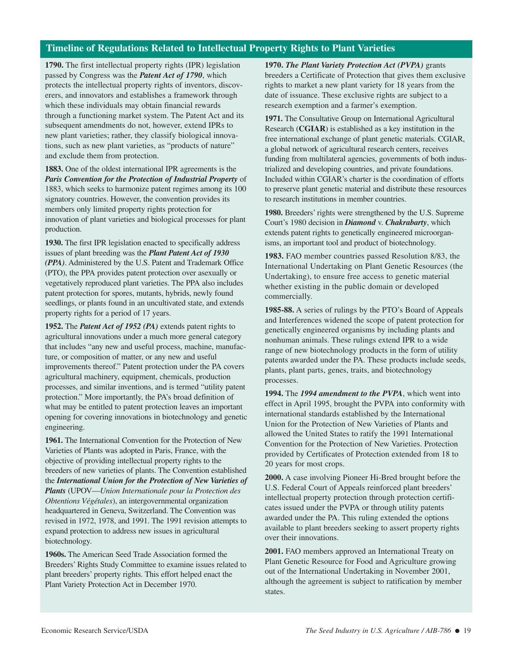### **Timeline of Regulations Related to Intellectual Property Rights to Plant Varieties**

**1790.** The first intellectual property rights (IPR) legislation passed by Congress was the *Patent Act of 1790*, which protects the intellectual property rights of inventors, discoverers, and innovators and establishes a framework through which these individuals may obtain financial rewards through a functioning market system. The Patent Act and its subsequent amendments do not, however, extend IPRs to new plant varieties; rather, they classify biological innovations, such as new plant varieties, as "products of nature" and exclude them from protection.

**1883.** One of the oldest international IPR agreements is the *Paris Convention for the Protection of Industrial Property* of 1883, which seeks to harmonize patent regimes among its 100 signatory countries. However, the convention provides its members only limited property rights protection for innovation of plant varieties and biological processes for plant production.

**1930.** The first IPR legislation enacted to specifically address issues of plant breeding was the *Plant Patent Act of 1930 (PPA)*. Administered by the U.S. Patent and Trademark Office (PTO), the PPA provides patent protection over asexually or vegetatively reproduced plant varieties. The PPA also includes patent protection for spores, mutants, hybrids, newly found seedlings, or plants found in an uncultivated state, and extends property rights for a period of 17 years.

**1952.** The *Patent Act of 1952 (PA)* extends patent rights to agricultural innovations under a much more general category that includes "any new and useful process, machine, manufacture, or composition of matter, or any new and useful improvements thereof." Patent protection under the PA covers agricultural machinery, equipment, chemicals, production processes, and similar inventions, and is termed "utility patent protection." More importantly, the PA's broad definition of what may be entitled to patent protection leaves an important opening for covering innovations in biotechnology and genetic engineering.

**1961.** The International Convention for the Protection of New Varieties of Plants was adopted in Paris, France, with the objective of providing intellectual property rights to the breeders of new varieties of plants. The Convention established the *International Union for the Protection of New Varieties of Plants* (UPOV—*Union Internationale pour la Protection des Obtentions Végétales*), an intergovernmental organization headquartered in Geneva, Switzerland. The Convention was revised in 1972, 1978, and 1991. The 1991 revision attempts to expand protection to address new issues in agricultural biotechnology.

**1960s.** The American Seed Trade Association formed the Breeders' Rights Study Committee to examine issues related to plant breeders' property rights. This effort helped enact the Plant Variety Protection Act in December 1970.

**1970.** *The Plant Variety Protection Act (PVPA)* grants breeders a Certificate of Protection that gives them exclusive rights to market a new plant variety for 18 years from the date of issuance. These exclusive rights are subject to a research exemption and a farmer's exemption.

**1971.** The Consultative Group on International Agricultural Research (**CGIAR**) is established as a key institution in the free international exchange of plant genetic materials. CGIAR, a global network of agricultural research centers, receives funding from multilateral agencies, governments of both industrialized and developing countries, and private foundations. Included within CGIAR's charter is the coordination of efforts to preserve plant genetic material and distribute these resources to research institutions in member countries.

**1980.** Breeders' rights were strengthened by the U.S. Supreme Court's 1980 decision in *Diamond* v. *Chakrabarty*, which extends patent rights to genetically engineered microorganisms, an important tool and product of biotechnology.

**1983.** FAO member countries passed Resolution 8/83, the International Undertaking on Plant Genetic Resources (the Undertaking), to ensure free access to genetic material whether existing in the public domain or developed commercially.

**1985-88.** A series of rulings by the PTO's Board of Appeals and Interferences widened the scope of patent protection for genetically engineered organisms by including plants and nonhuman animals. These rulings extend IPR to a wide range of new biotechnology products in the form of utility patents awarded under the PA. These products include seeds, plants, plant parts, genes, traits, and biotechnology processes.

**1994.** The *1994 amendment to the PVPA*, which went into effect in April 1995, brought the PVPA into conformity with international standards established by the International Union for the Protection of New Varieties of Plants and allowed the United States to ratify the 1991 International Convention for the Protection of New Varieties. Protection provided by Certificates of Protection extended from 18 to 20 years for most crops.

**2000.** A case involving Pioneer Hi-Bred brought before the U.S. Federal Court of Appeals reinforced plant breeders' intellectual property protection through protection certificates issued under the PVPA or through utility patents awarded under the PA. This ruling extended the options available to plant breeders seeking to assert property rights over their innovations.

**2001.** FAO members approved an International Treaty on Plant Genetic Resource for Food and Agriculture growing out of the International Undertaking in November 2001, although the agreement is subject to ratification by member states.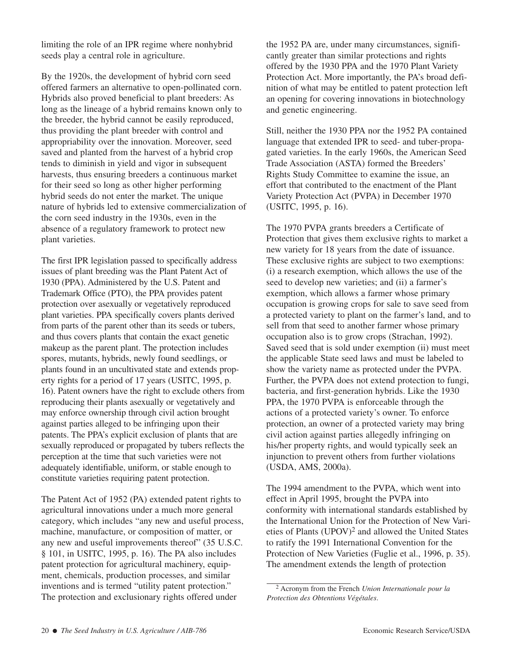limiting the role of an IPR regime where nonhybrid seeds play a central role in agriculture.

By the 1920s, the development of hybrid corn seed offered farmers an alternative to open-pollinated corn. Hybrids also proved beneficial to plant breeders: As long as the lineage of a hybrid remains known only to the breeder, the hybrid cannot be easily reproduced, thus providing the plant breeder with control and appropriability over the innovation. Moreover, seed saved and planted from the harvest of a hybrid crop tends to diminish in yield and vigor in subsequent harvests, thus ensuring breeders a continuous market for their seed so long as other higher performing hybrid seeds do not enter the market. The unique nature of hybrids led to extensive commercialization of the corn seed industry in the 1930s, even in the absence of a regulatory framework to protect new plant varieties.

The first IPR legislation passed to specifically address issues of plant breeding was the Plant Patent Act of 1930 (PPA). Administered by the U.S. Patent and Trademark Office (PTO), the PPA provides patent protection over asexually or vegetatively reproduced plant varieties. PPA specifically covers plants derived from parts of the parent other than its seeds or tubers, and thus covers plants that contain the exact genetic makeup as the parent plant. The protection includes spores, mutants, hybrids, newly found seedlings, or plants found in an uncultivated state and extends property rights for a period of 17 years (USITC, 1995, p. 16). Patent owners have the right to exclude others from reproducing their plants asexually or vegetatively and may enforce ownership through civil action brought against parties alleged to be infringing upon their patents. The PPA's explicit exclusion of plants that are sexually reproduced or propagated by tubers reflects the perception at the time that such varieties were not adequately identifiable, uniform, or stable enough to constitute varieties requiring patent protection.

The Patent Act of 1952 (PA) extended patent rights to agricultural innovations under a much more general category, which includes "any new and useful process, machine, manufacture, or composition of matter, or any new and useful improvements thereof" (35 U.S.C. § 101, in USITC, 1995, p. 16). The PA also includes patent protection for agricultural machinery, equipment, chemicals, production processes, and similar inventions and is termed "utility patent protection." The protection and exclusionary rights offered under

the 1952 PA are, under many circumstances, significantly greater than similar protections and rights offered by the 1930 PPA and the 1970 Plant Variety Protection Act. More importantly, the PA's broad definition of what may be entitled to patent protection left an opening for covering innovations in biotechnology and genetic engineering.

Still, neither the 1930 PPA nor the 1952 PA contained language that extended IPR to seed- and tuber-propagated varieties. In the early 1960s, the American Seed Trade Association (ASTA) formed the Breeders' Rights Study Committee to examine the issue, an effort that contributed to the enactment of the Plant Variety Protection Act (PVPA) in December 1970 (USITC, 1995, p. 16).

The 1970 PVPA grants breeders a Certificate of Protection that gives them exclusive rights to market a new variety for 18 years from the date of issuance. These exclusive rights are subject to two exemptions: (i) a research exemption, which allows the use of the seed to develop new varieties; and (ii) a farmer's exemption, which allows a farmer whose primary occupation is growing crops for sale to save seed from a protected variety to plant on the farmer's land, and to sell from that seed to another farmer whose primary occupation also is to grow crops (Strachan, 1992). Saved seed that is sold under exemption (ii) must meet the applicable State seed laws and must be labeled to show the variety name as protected under the PVPA. Further, the PVPA does not extend protection to fungi, bacteria, and first-generation hybrids. Like the 1930 PPA, the 1970 PVPA is enforceable through the actions of a protected variety's owner. To enforce protection, an owner of a protected variety may bring civil action against parties allegedly infringing on his/her property rights, and would typically seek an injunction to prevent others from further violations (USDA, AMS, 2000a).

The 1994 amendment to the PVPA, which went into effect in April 1995, brought the PVPA into conformity with international standards established by the International Union for the Protection of New Varieties of Plants (UPOV)2 and allowed the United States to ratify the 1991 International Convention for the Protection of New Varieties (Fuglie et al., 1996, p. 35). The amendment extends the length of protection

<sup>2</sup> Acronym from the French *Union Internationale pour la Protection des Obtentions Végétales*.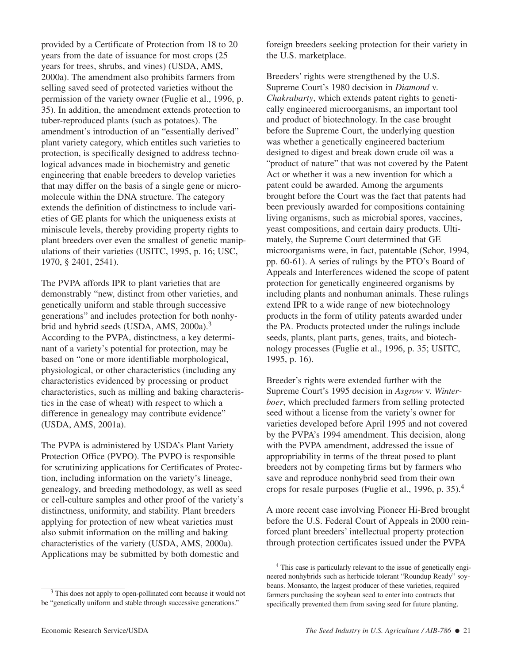provided by a Certificate of Protection from 18 to 20 years from the date of issuance for most crops (25 years for trees, shrubs, and vines) (USDA, AMS, 2000a). The amendment also prohibits farmers from selling saved seed of protected varieties without the permission of the variety owner (Fuglie et al., 1996, p. 35). In addition, the amendment extends protection to tuber-reproduced plants (such as potatoes). The amendment's introduction of an "essentially derived" plant variety category, which entitles such varieties to protection, is specifically designed to address technological advances made in biochemistry and genetic engineering that enable breeders to develop varieties that may differ on the basis of a single gene or micromolecule within the DNA structure. The category extends the definition of distinctness to include varieties of GE plants for which the uniqueness exists at miniscule levels, thereby providing property rights to plant breeders over even the smallest of genetic manipulations of their varieties (USITC, 1995, p. 16; USC, 1970, § 2401, 2541).

The PVPA affords IPR to plant varieties that are demonstrably "new, distinct from other varieties, and genetically uniform and stable through successive generations" and includes protection for both nonhybrid and hybrid seeds (USDA, AMS, 2000a).<sup>3</sup> According to the PVPA, distinctness, a key determinant of a variety's potential for protection, may be based on "one or more identifiable morphological, physiological, or other characteristics (including any characteristics evidenced by processing or product characteristics, such as milling and baking characteristics in the case of wheat) with respect to which a difference in genealogy may contribute evidence" (USDA, AMS, 2001a).

The PVPA is administered by USDA's Plant Variety Protection Office (PVPO). The PVPO is responsible for scrutinizing applications for Certificates of Protection, including information on the variety's lineage, genealogy, and breeding methodology, as well as seed or cell-culture samples and other proof of the variety's distinctness, uniformity, and stability. Plant breeders applying for protection of new wheat varieties must also submit information on the milling and baking characteristics of the variety (USDA, AMS, 2000a). Applications may be submitted by both domestic and

<sup>3</sup> This does not apply to open-pollinated corn because it would not be "genetically uniform and stable through successive generations."

foreign breeders seeking protection for their variety in the U.S. marketplace.

Breeders' rights were strengthened by the U.S. Supreme Court's 1980 decision in *Diamond* v. *Chakrabarty*, which extends patent rights to genetically engineered microorganisms, an important tool and product of biotechnology. In the case brought before the Supreme Court, the underlying question was whether a genetically engineered bacterium designed to digest and break down crude oil was a "product of nature" that was not covered by the Patent Act or whether it was a new invention for which a patent could be awarded. Among the arguments brought before the Court was the fact that patents had been previously awarded for compositions containing living organisms, such as microbial spores, vaccines, yeast compositions, and certain dairy products. Ultimately, the Supreme Court determined that GE microorganisms were, in fact, patentable (Schor, 1994, pp. 60-61). A series of rulings by the PTO's Board of Appeals and Interferences widened the scope of patent protection for genetically engineered organisms by including plants and nonhuman animals. These rulings extend IPR to a wide range of new biotechnology products in the form of utility patents awarded under the PA. Products protected under the rulings include seeds, plants, plant parts, genes, traits, and biotechnology processes (Fuglie et al., 1996, p. 35; USITC, 1995, p. 16).

Breeder's rights were extended further with the Supreme Court's 1995 decision in *Asgrow* v. *Winterboer*, which precluded farmers from selling protected seed without a license from the variety's owner for varieties developed before April 1995 and not covered by the PVPA's 1994 amendment. This decision, along with the PVPA amendment, addressed the issue of appropriability in terms of the threat posed to plant breeders not by competing firms but by farmers who save and reproduce nonhybrid seed from their own crops for resale purposes (Fuglie et al., 1996, p. 35).<sup>4</sup>

A more recent case involving Pioneer Hi-Bred brought before the U.S. Federal Court of Appeals in 2000 reinforced plant breeders' intellectual property protection through protection certificates issued under the PVPA

<sup>4</sup> This case is particularly relevant to the issue of genetically engineered nonhybrids such as herbicide tolerant "Roundup Ready" soybeans. Monsanto, the largest producer of these varieties, required farmers purchasing the soybean seed to enter into contracts that specifically prevented them from saving seed for future planting.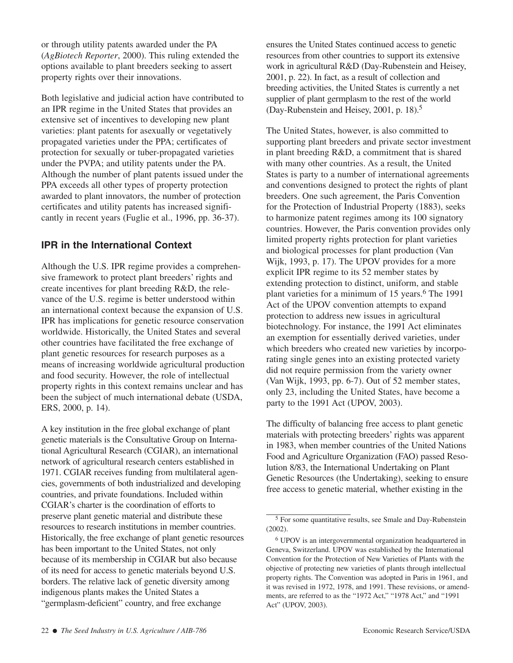or through utility patents awarded under the PA (*AgBiotech Reporter*, 2000). This ruling extended the options available to plant breeders seeking to assert property rights over their innovations.

Both legislative and judicial action have contributed to an IPR regime in the United States that provides an extensive set of incentives to developing new plant varieties: plant patents for asexually or vegetatively propagated varieties under the PPA; certificates of protection for sexually or tuber-propagated varieties under the PVPA; and utility patents under the PA. Although the number of plant patents issued under the PPA exceeds all other types of property protection awarded to plant innovators, the number of protection certificates and utility patents has increased significantly in recent years (Fuglie et al., 1996, pp. 36-37).

## **IPR in the International Context**

Although the U.S. IPR regime provides a comprehensive framework to protect plant breeders' rights and create incentives for plant breeding R&D, the relevance of the U.S. regime is better understood within an international context because the expansion of U.S. IPR has implications for genetic resource conservation worldwide. Historically, the United States and several other countries have facilitated the free exchange of plant genetic resources for research purposes as a means of increasing worldwide agricultural production and food security. However, the role of intellectual property rights in this context remains unclear and has been the subject of much international debate (USDA, ERS, 2000, p. 14).

A key institution in the free global exchange of plant genetic materials is the Consultative Group on International Agricultural Research (CGIAR), an international network of agricultural research centers established in 1971. CGIAR receives funding from multilateral agencies, governments of both industrialized and developing countries, and private foundations. Included within CGIAR's charter is the coordination of efforts to preserve plant genetic material and distribute these resources to research institutions in member countries. Historically, the free exchange of plant genetic resources has been important to the United States, not only because of its membership in CGIAR but also because of its need for access to genetic materials beyond U.S. borders. The relative lack of genetic diversity among indigenous plants makes the United States a "germplasm-deficient" country, and free exchange

ensures the United States continued access to genetic resources from other countries to support its extensive work in agricultural R&D (Day-Rubenstein and Heisey, 2001, p. 22). In fact, as a result of collection and breeding activities, the United States is currently a net supplier of plant germplasm to the rest of the world (Day-Rubenstein and Heisey, 2001, p. 18).5

The United States, however, is also committed to supporting plant breeders and private sector investment in plant breeding R&D, a commitment that is shared with many other countries. As a result, the United States is party to a number of international agreements and conventions designed to protect the rights of plant breeders. One such agreement, the Paris Convention for the Protection of Industrial Property (1883), seeks to harmonize patent regimes among its 100 signatory countries. However, the Paris convention provides only limited property rights protection for plant varieties and biological processes for plant production (Van Wijk, 1993, p. 17). The UPOV provides for a more explicit IPR regime to its 52 member states by extending protection to distinct, uniform, and stable plant varieties for a minimum of 15 years.<sup>6</sup> The 1991 Act of the UPOV convention attempts to expand protection to address new issues in agricultural biotechnology. For instance, the 1991 Act eliminates an exemption for essentially derived varieties, under which breeders who created new varieties by incorporating single genes into an existing protected variety did not require permission from the variety owner (Van Wijk, 1993, pp. 6-7). Out of 52 member states, only 23, including the United States, have become a party to the 1991 Act (UPOV, 2003).

The difficulty of balancing free access to plant genetic materials with protecting breeders' rights was apparent in 1983, when member countries of the United Nations Food and Agriculture Organization (FAO) passed Resolution 8/83, the International Undertaking on Plant Genetic Resources (the Undertaking), seeking to ensure free access to genetic material, whether existing in the

<sup>5</sup> For some quantitative results, see Smale and Day-Rubenstein (2002).

<sup>6</sup> UPOV is an intergovernmental organization headquartered in Geneva, Switzerland. UPOV was established by the International Convention for the Protection of New Varieties of Plants with the objective of protecting new varieties of plants through intellectual property rights. The Convention was adopted in Paris in 1961, and it was revised in 1972, 1978, and 1991. These revisions, or amendments, are referred to as the "1972 Act," "1978 Act," and "1991 Act" (UPOV, 2003).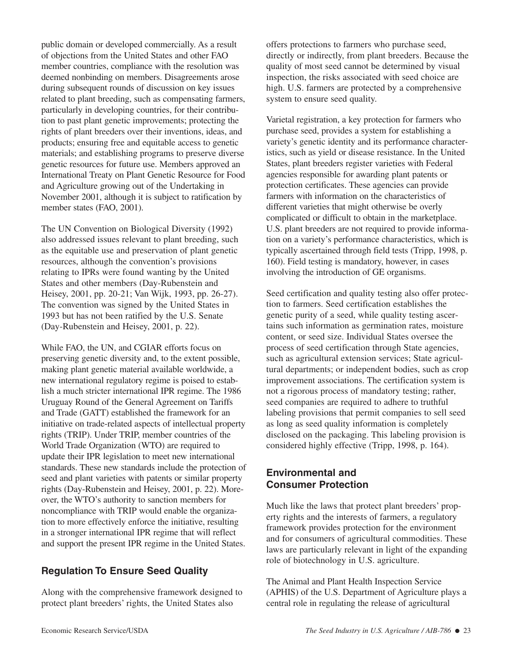public domain or developed commercially. As a result of objections from the United States and other FAO member countries, compliance with the resolution was deemed nonbinding on members. Disagreements arose during subsequent rounds of discussion on key issues related to plant breeding, such as compensating farmers, particularly in developing countries, for their contribution to past plant genetic improvements; protecting the rights of plant breeders over their inventions, ideas, and products; ensuring free and equitable access to genetic materials; and establishing programs to preserve diverse genetic resources for future use. Members approved an International Treaty on Plant Genetic Resource for Food and Agriculture growing out of the Undertaking in November 2001, although it is subject to ratification by member states (FAO, 2001).

The UN Convention on Biological Diversity (1992) also addressed issues relevant to plant breeding, such as the equitable use and preservation of plant genetic resources, although the convention's provisions relating to IPRs were found wanting by the United States and other members (Day-Rubenstein and Heisey, 2001, pp. 20-21; Van Wijk, 1993, pp. 26-27). The convention was signed by the United States in 1993 but has not been ratified by the U.S. Senate (Day-Rubenstein and Heisey, 2001, p. 22).

While FAO, the UN, and CGIAR efforts focus on preserving genetic diversity and, to the extent possible, making plant genetic material available worldwide, a new international regulatory regime is poised to establish a much stricter international IPR regime. The 1986 Uruguay Round of the General Agreement on Tariffs and Trade (GATT) established the framework for an initiative on trade-related aspects of intellectual property rights (TRIP). Under TRIP, member countries of the World Trade Organization (WTO) are required to update their IPR legislation to meet new international standards. These new standards include the protection of seed and plant varieties with patents or similar property rights (Day-Rubenstein and Heisey, 2001, p. 22). Moreover, the WTO's authority to sanction members for noncompliance with TRIP would enable the organization to more effectively enforce the initiative, resulting in a stronger international IPR regime that will reflect and support the present IPR regime in the United States.

### **Regulation To Ensure Seed Quality**

Along with the comprehensive framework designed to protect plant breeders' rights, the United States also

offers protections to farmers who purchase seed, directly or indirectly, from plant breeders. Because the quality of most seed cannot be determined by visual inspection, the risks associated with seed choice are high. U.S. farmers are protected by a comprehensive system to ensure seed quality.

Varietal registration, a key protection for farmers who purchase seed, provides a system for establishing a variety's genetic identity and its performance characteristics, such as yield or disease resistance. In the United States, plant breeders register varieties with Federal agencies responsible for awarding plant patents or protection certificates. These agencies can provide farmers with information on the characteristics of different varieties that might otherwise be overly complicated or difficult to obtain in the marketplace. U.S. plant breeders are not required to provide information on a variety's performance characteristics, which is typically ascertained through field tests (Tripp, 1998, p. 160). Field testing is mandatory, however, in cases involving the introduction of GE organisms.

Seed certification and quality testing also offer protection to farmers. Seed certification establishes the genetic purity of a seed, while quality testing ascertains such information as germination rates, moisture content, or seed size. Individual States oversee the process of seed certification through State agencies, such as agricultural extension services; State agricultural departments; or independent bodies, such as crop improvement associations. The certification system is not a rigorous process of mandatory testing; rather, seed companies are required to adhere to truthful labeling provisions that permit companies to sell seed as long as seed quality information is completely disclosed on the packaging. This labeling provision is considered highly effective (Tripp, 1998, p. 164).

### **Environmental and Consumer Protection**

Much like the laws that protect plant breeders' property rights and the interests of farmers, a regulatory framework provides protection for the environment and for consumers of agricultural commodities. These laws are particularly relevant in light of the expanding role of biotechnology in U.S. agriculture.

The Animal and Plant Health Inspection Service (APHIS) of the U.S. Department of Agriculture plays a central role in regulating the release of agricultural